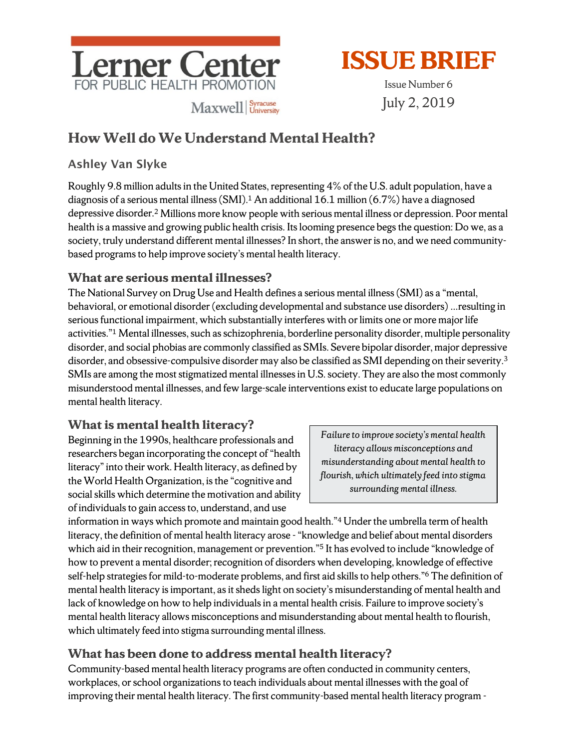



Issue Number 6 July 2, 2019

# **How Well do We Understand Mental Health?**

### Ashley Van Slyke

Roughly 9.8 million adults in the United States, representing 4% of the U.S. adult population, have a diagnosis of a serious mental illness (SMI).1 An additional 16.1 million (6.7%) have a diagnosed depressive disorder. <sup>2</sup> Millions more know people with serious mental illness or depression. Poor mental health is a massive and growing public health crisis. Its looming presence begs the question: Do we, as a society, truly understand different mental illnesses? In short, the answer is no, and we need communitybased programs to help improve society's mental health literacy.

### **What are serious mental illnesses?**

The National Survey on Drug Use and Health defines a serious mental illness (SMI) as a "mental, behavioral, or emotional disorder (excluding developmental and substance use disorders) …resulting in serious functional impairment, which substantially interferes with or limits one or more major life activities."1 Mental illnesses, such as schizophrenia, borderline personality disorder, multiple personality disorder, and social phobias are commonly classified as SMIs. Severe bipolar disorder, major depressive disorder, and obsessive-compulsive disorder may also be classified as SMI depending on their severity.<sup>3</sup> SMIs are among the most stigmatized mental illnesses in U.S. society. They are also the most commonly misunderstood mental illnesses, and few large-scale interventions exist to educate large populations on mental health literacy.

# **What is mental health literacy?**

Beginning in the 1990s, healthcare professionals and researchers began incorporating the concept of "health literacy"into their work. Health literacy, as defined by the World Health Organization, is the "cognitive and social skills which determine the motivation and ability of individuals to gain access to, understand, and use

*Failure to improve society's mental health literacy allows misconceptions and misunderstanding about mental health to flourish, which ultimately feed into stigma surrounding mental illness.*

information in ways which promote and maintain good health."4Under the umbrella term of health literacy, the definition of mental health literacy arose -"knowledge and belief about mental disorders which aid in their recognition, management or prevention."<sup>5</sup> It has evolved to include "knowledge of how to prevent a mental disorder; recognition of disorders when developing, knowledge of effective self-help strategies for mild-to-moderate problems, and first aid skills to help others."6 The definition of mental health literacy is important, as it sheds light on society's misunderstanding of mental health and lack of knowledge on how to help individuals in a mental health crisis. Failure to improve society's mental health literacy allows misconceptions and misunderstanding about mental health to flourish, which ultimately feed into stigma surrounding mental illness.

# **What has been done to address mental health literacy?**

Community-based mental health literacy programs are often conducted in community centers, workplaces, or school organizations to teach individuals about mental illnesses with the goal of improving their mental health literacy. The first community-based mental health literacy program -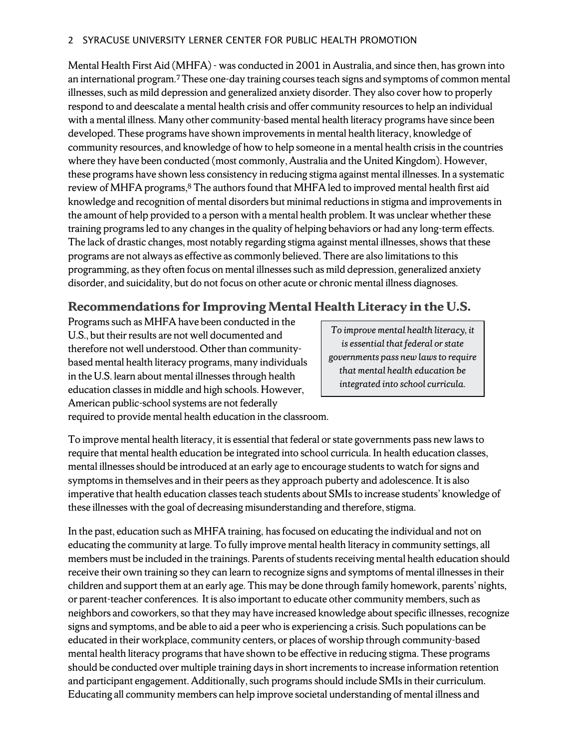Mental Health First Aid (MHFA) - was conducted in 2001 in Australia, and since then, has grown into an international program. 7 These one-day training coursesteach signs and symptoms of common mental illnesses, such as mild depression and generalized anxiety disorder. They also cover how to properly respond to and deescalate a mental health crisis and offer community resources to help an individual with a mental illness. Many other community-based mental health literacy programs have since been developed. These programs have shown improvements in mental health literacy, knowledge of community resources, and knowledge of how to help someone in a mental health crisisin the countries where they have been conducted (most commonly, Australia and the United Kingdom). However, these programs have shown less consistency in reducing stigma against mental illnesses. In a systematic review of MHFA programs, $8$  The authors found that MHFA led to improved mental health first aid knowledge and recognition of mental disorders but minimal reductions in stigma and improvementsin the amount of help provided to a person with a mental health problem. It was unclear whether these training programs led to any changes in the quality of helping behaviors or had any long-term effects. The lack of drastic changes, most notably regarding stigma against mental illnesses, shows that these programs are not always as effective as commonly believed. There are also limitations to this programming, as they often focus on mental illnesses such as mild depression, generalized anxiety disorder, and suicidality, but do not focus on other acute or chronic mental illness diagnoses.

### **Recommendations for Improving Mental Health Literacy in the U.S.**

Programs such as MHFA have been conducted in the U.S., but their results are not well documented and therefore not well understood. Other than communitybased mental health literacy programs, many individuals in the U.S. learn about mental illnesses through health education classes in middle and high schools. However, American public-school systems are not federally

*To improve mental health literacy, it is essential that federal or state governments pass new laws to require that mental health education be integrated into school curricula.*

required to provide mental health education in the classroom.

To improve mental health literacy, it is essential that federal or state governments pass new laws to require that mental health education be integrated into school curricula. In health education classes, mental illnesses should be introduced at an early age to encourage students to watch for signs and symptoms in themselves and in their peers as they approach puberty and adolescence. It is also imperative that health education classes teach students about SMIs to increase students' knowledge of these illnesses with the goal of decreasing misunderstanding and therefore, stigma.

In the past, education such as MHFA training, has focused on educating the individual and not on educating the community at large. To fully improve mental health literacy in community settings, all members must be included in the trainings. Parents of students receiving mental health education should receive their own training so they can learn to recognize signs and symptoms of mental illnesses in their children and support them at an early age. This may be done through family homework, parents' nights, or parent-teacher conferences. It is also important to educate other community members, such as neighbors and coworkers,so that they may have increased knowledge about specific illnesses, recognize signs and symptoms, and be able to aid a peer who is experiencing a crisis. Such populations can be educated in their workplace, community centers, or places of worship through community-based mental health literacy programs that have shown to be effective in reducing stigma. These programs should be conducted over multiple training days in short increments to increase information retention and participant engagement. Additionally, such programs should include SMIs in their curriculum. Educating all community members can help improve societal understanding of mental illness and